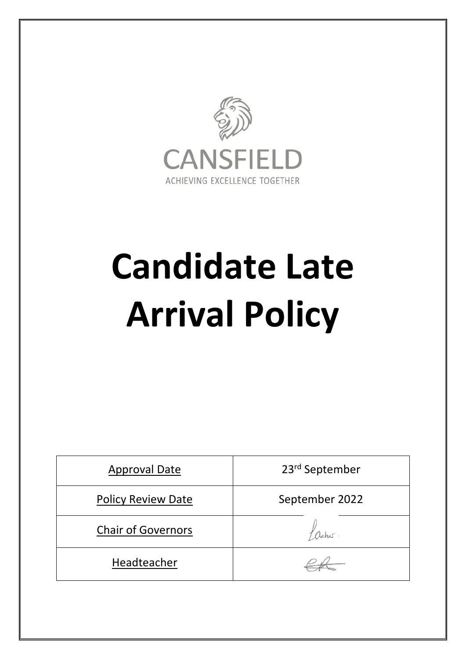

# **Candidate Late Arrival Policy**

| <b>Approval Date</b>      | 23 <sup>rd</sup> September |
|---------------------------|----------------------------|
| <b>Policy Review Date</b> | September 2022             |
| <b>Chair of Governors</b> |                            |
| Headteacher               |                            |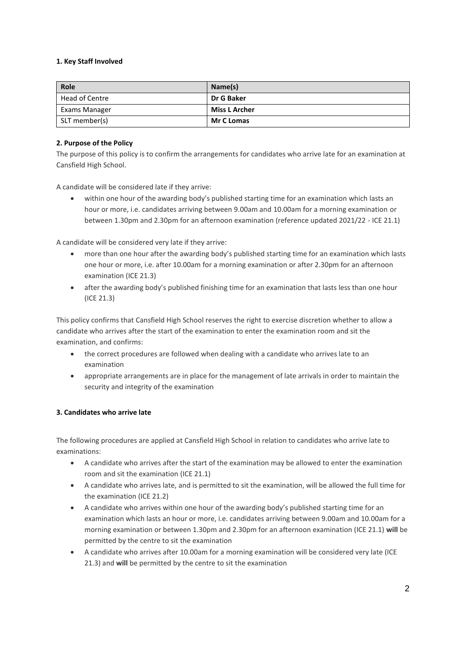# **1. Key Staff Involved**

| Role           | Name(s)              |
|----------------|----------------------|
| Head of Centre | Dr G Baker           |
| Exams Manager  | <b>Miss L Archer</b> |
| SLT member(s)  | <b>Mr C Lomas</b>    |

# **2. Purpose of the Policy**

The purpose of this policy is to confirm the arrangements for candidates who arrive late for an examination at Cansfield High School.

A candidate will be considered late if they arrive:

 within one hour of the awarding body's published starting time for an examination which lasts an hour or more, i.e. candidates arriving between 9.00am and 10.00am for a morning examination or between 1.30pm and 2.30pm for an afternoon examination (reference updated 2021/22 - ICE 21.1)

A candidate will be considered very late if they arrive:

- more than one hour after the awarding body's published starting time for an examination which lasts one hour or more, i.e. after 10.00am for a morning examination or after 2.30pm for an afternoon examination (ICE 21.3)
- after the awarding body's published finishing time for an examination that lasts less than one hour (ICE 21.3)

This policy confirms that Cansfield High School reserves the right to exercise discretion whether to allow a candidate who arrives after the start of the examination to enter the examination room and sit the examination, and confirms:

- the correct procedures are followed when dealing with a candidate who arrives late to an examination
- appropriate arrangements are in place for the management of late arrivals in order to maintain the security and integrity of the examination

### **3. Candidates who arrive late**

The following procedures are applied at Cansfield High School in relation to candidates who arrive late to examinations:

- A candidate who arrives after the start of the examination may be allowed to enter the examination room and sit the examination (ICE 21.1)
- A candidate who arrives late, and is permitted to sit the examination, will be allowed the full time for the examination (ICE 21.2)
- A candidate who arrives within one hour of the awarding body's published starting time for an examination which lasts an hour or more, i.e. candidates arriving between 9.00am and 10.00am for a morning examination or between 1.30pm and 2.30pm for an afternoon examination (ICE 21.1) **will** be permitted by the centre to sit the examination
- A candidate who arrives after 10.00am for a morning examination will be considered very late (ICE 21.3) and **will** be permitted by the centre to sit the examination